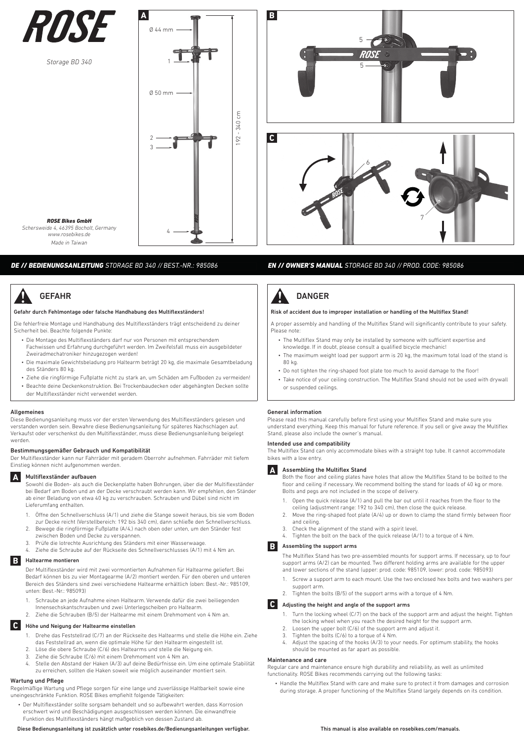

*Storage BD 340*



*ROSE Bikes GmbH Schersweide 4, 46395 Bocholt, Germany www.rosebikes.de Made in Taiwan*

## *DE // BEDIENUNGSANLEITUNG STORAGE BD 340 // BEST.-NR.: 985086*

# GEFAHR

#### Gefahr durch Fehlmontage oder falsche Handhabung des Multiflexständers!

Die fehlerfreie Montage und Handhabung des Multiflexständers trägt entscheidend zu deiner Sicherheit bei. Beachte folgende Punkte:

- Die Montage des Multiflexständers darf nur von Personen mit entsprechendem Fachwissen und Erfahrung durchgeführt werden. Im Zweifelsfall muss ein ausgebildeter Zweiradmechatroniker hinzugezogen werden!
- Die maximale Gewichtsbeladung pro Haltearm beträgt 20 kg, die maximale Gesamtbeladung des Ständers 80 kg.
- Ziehe die ringförmige Fußplatte nicht zu stark an, um Schäden am Fußboden zu vermeiden! • Beachte deine Deckenkonstruktion. Bei Trockenbaudecken oder abgehängten Decken sollte
- der Multiflexständer nicht verwendet werden.

#### Allgemeines

Diese Bedienungsanleitung muss vor der ersten Verwendung des Multiflexständers gelesen und verstanden worden sein. Bewahre diese Bedienungsanleitung für späteres Nachschlagen auf. Verkaufst oder verschenkst du den Multiflexständer, muss diese Bedienungsanleitung beigelegt werden.

#### Bestimmungsgemäßer Gebrauch und Kompatibilität

Der Multiflexständer kann nur Fahrräder mit geradem Oberrohr aufnehmen. Fahrräder mit tiefem Einstieg können nicht aufgenommen werden.

# **A** Multiflexständer aufbauen

Sowohl die Boden- als auch die Deckenplatte haben Bohrungen, über die der Multiflexständer bei Bedarf am Boden und an der Decke verschraubt werden kann. Wir empfehlen, den Ständer ab einer Beladung von etwa 40 kg zu verschrauben. Schrauben und Dübel sind nicht im Lieferumfang enthalten.

- 1. Öffne den Schnellverschluss (A/1) und ziehe die Stange soweit heraus, bis sie vom Boden zur Decke reicht (Verstellbereich: 192 bis 340 cm), dann schließe den Schnellverschluss.
- 2. Bewege die ringförmige Fußplatte (A/4,) nach oben oder unten, um den Ständer fest zwischen Boden und Decke zu verspannen.
- 3. Prüfe die lotrechte Ausrichtung des Ständers mit einer Wasserwaage.
- 4. Ziehe die Schraube auf der Rückseite des Schnellverschlusses (A/1) mit 4 Nm an.

#### **B** Haltearme montieren

Der Multiflexständer wird mit zwei vormontierten Aufnahmen für Haltearme geliefert. Bei Bedarf können bis zu vier Montagearme (A/2) montiert werden. Für den oberen und unteren Bereich des Ständers sind zwei verschiedene Haltearme erhältlich (oben: Best.-Nr.: 985109, unten: Best.-Nr.: 985093)

- 1. Schraube an jede Aufnahme einen Haltearm. Verwende dafür die zwei beiliegenden
- Innensechskantschrauben und zwei Unterlegscheiben pro Haltearm. Ziehe die Schrauben (B/5) der Haltearme mit einem Drehmoment von 4 Nm an.
- 

### **C** Höhe und Neigung der Haltearme einstellen

- 1. Drehe das Feststellrad (C/7) an der Rückseite des Haltearms und stelle die Höhe ein. Ziehe das Feststellrad an, wenn die optimale Höhe für den Haltearm eingestellt ist.
- 2. Löse die obere Schraube (C/6) des Haltearms und stelle die Neigung ein.
- 3. Ziehe die Schraube (C/6) mit einem Drehmoment von 4 Nm an.
- 4. Stelle den Abstand der Haken (A/3) auf deine Bedürfnisse ein. Um eine optimale Stabilität zu erreichen, sollten die Haken soweit wie möglich auseinander montiert sein.

# Wartung und Pflege

Regelmäßige Wartung und Pflege sorgen für eine lange und zuverlässige Haltbarkeit sowie eine uneingeschränkte Funktion. ROSE Bikes empfiehlt folgende Tätigkeiten:

• Der Multiflexständer sollte sorgsam behandelt und so aufbewahrt werden, dass Korrosion erschwert wird und Beschädigungen ausgeschlossen werden können. Die einwandfreie Funktion des Multiflexständers hängt maßgeblich von dessen Zustand ab.

Diese Bedienungsanleitung ist zusätzlich unter rosebikes.de/Bedienungsanleitungen verfügbar.



### *EN // OWNER'S MANUAL STORAGE BD 340 // PROD. CODE: 985086*



#### Risk of accident due to improper installation or handling of the Multiflex Stand!

A proper assembly and handling of the Multiflex Stand will significantly contribute to your safety. Please note

- The Multiflex Stand may only be installed by someone with sufficient expertise and knowledge. If in doubt, please consult a qualified bicycle mechanic!
- The maximum weight load per support arm is 20 kg, the maximum total load of the stand is 80 kg.
- Do not tighten the ring-shaped foot plate too much to avoid damage to the floor!
- Take notice of your ceiling construction. The Multiflex Stand should not be used with drywall or suspended ceilings.

#### General information

Please read this manual carefully before first using your Multiflex Stand and make sure you understand everything. Keep this manual for future reference. If you sell or give away the Multiflex Stand, please also include the owner's manual.

#### Intended use and compatibility

The Multiflex Stand can only accommodate bikes with a straight top tube. It cannot accommodate bikes with a low entry.



**A** Assembling the Multiflex Stand

Both the floor and ceiling plates have holes that allow the Multiflex Stand to be bolted to the floor and ceiling if necessary. We recommend bolting the stand for loads of 40 kg or more. Bolts and pegs are not included in the scope of delivery.

- 1. Open the quick release (A/1) and pull the bar out until it reaches from the floor to the ceiling (adjustment range: 192 to 340 cm), then close the quick release.
- 2. Move the ring-shaped foot plate (A/4) up or down to clamp the stand firmly between floor and ceiling.
- 3. Check the alignment of the stand with a spirit level.
- Tighten the bolt on the back of the quick release (A/1) to a torque of 4 Nm.

### **B** Assembling the support arms

The Multiflex Stand has two pre-assembled mounts for support arms. If necessary, up to four support arms (A/2) can be mounted. Two different holding arms are available for the upper and lower sections of the stand (upper: prod. code: 985109, lower: prod. code: 985093)

- 1. Screw a support arm to each mount. Use the two enclosed hex bolts and two washers per support arm.
- 2. Tighten the bolts (B/5) of the support arms with a torque of 4 Nm.

### **C** Adjusting the height and angle of the support arms

- 1. Turn the locking wheel (C/7) on the back of the support arm and adjust the height. Tighten the locking wheel when you reach the desired height for the support arm.
- 2. Loosen the upper bolt (C/6) of the support arm and adjust it.
- 3. Tighten the bolts  $(C/6)$  to a torque of 4 Nm.<br>4. Adjust the spacing of the hooks  $(A/3)$  to you
- 4. Adjust the spacing of the hooks (A/3) to your needs. For optimum stability, the hooks should be mounted as far apart as possible.

#### Maintenance and care

Regular care and maintenance ensure high durability and reliability, as well as unlimited functionality. ROSE Bikes recommends carrying out the following tasks:

• Handle the Multiflex Stand with care and make sure to protect it from damages and corrosion during storage. A proper functioning of the Multiflex Stand largely depends on its condition.